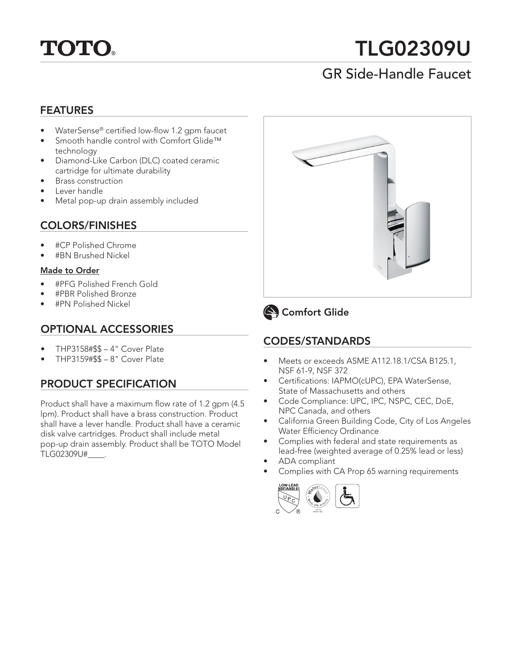

# TLG02309U

# GR Side-Handle Faucet

#### FEATURES

- WaterSense® certified low-flow 1.2 gpm faucet
- Smooth handle control with Comfort Glide™ technology
- Diamond-Like Carbon (DLC) coated ceramic cartridge for ultimate durability
- Brass construction
- Lever handle
- Metal pop-up drain assembly included

## COLORS/FINISHES

- #CP Polished Chrome
- #BN Brushed Nickel

#### Made to Order

- #PFG Polished French Gold
- #PBR Polished Bronze
- #PN Polished Nickel

## OPTIONAL ACCESSORIES

- THP3158#\$\$ 4" Cover Plate
- THP3159#\$\$ 8" Cover Plate

## PRODUCT SPECIFICATION

Product shall have a maximum flow rate of 1.2 gpm (4.5 lpm). Product shall have a brass construction. Product shall have a lever handle. Product shall have a ceramic disk valve cartridges. Product shall include metal pop-up drain assembly. Product shall be TOTO Model TLG02309U#\_\_\_\_.





## Comfort Glide

## CODES/STANDARDS

- Meets or exceeds ASME A112.18.1/CSA B125.1, NSF 61-9, NSF 372
- Certifications: IAPMO(cUPC), EPA WaterSense, State of Massachusetts and others
- Code Compliance: UPC, IPC, NSPC, CEC, DoE, NPC Canada, and others
- California Green Building Code, City of Los Angeles Water Efficiency Ordinance
- Complies with federal and state requirements as lead-free (weighted average of 0.25% lead or less)
- ADA compliant
- Complies with CA Prop 65 warning requirements